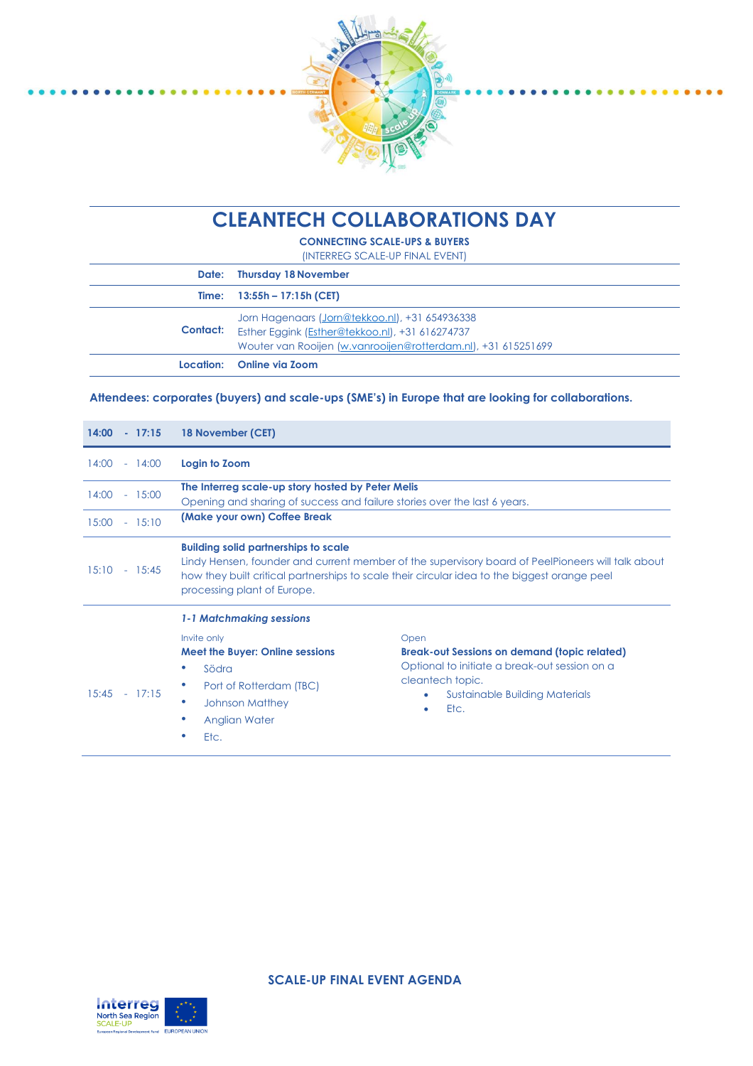

 $.........$ 

# **CLEANTECH COLLABORATIONS DAY**

**CONNECTING SCALE-UPS & BUYERS** (INTERREG SCALE-UP FINAL EVENT)

|          | Date: Thursday 18 November                                                                                                                                         |
|----------|--------------------------------------------------------------------------------------------------------------------------------------------------------------------|
|          | Time: $13:55h - 17:15h$ (CET)                                                                                                                                      |
| Contact: | Jorn Hagenaars (Jorn@tekkoo.nl), +31 654936338<br>Esther Eggink (Esther@tekkoo.nl), +31 616274737<br>Wouter van Rooijen (w.vanrooijen@rotterdam.nl), +31 615251699 |
|          | Location: Online via Zoom                                                                                                                                          |

#### **Attendees: corporates (buyers) and scale-ups (SME's) in Europe that are looking for collaborations.**

| $14:00 - 17:15$   | 18 November (CET)                                                                                                                                                                                                                                                               |                                                                                                                                                                                 |
|-------------------|---------------------------------------------------------------------------------------------------------------------------------------------------------------------------------------------------------------------------------------------------------------------------------|---------------------------------------------------------------------------------------------------------------------------------------------------------------------------------|
| 14:00<br>$-14:00$ | Login to Zoom                                                                                                                                                                                                                                                                   |                                                                                                                                                                                 |
| 14:00<br>$-15:00$ | The Interreg scale-up story hosted by Peter Melis<br>Opening and sharing of success and failure stories over the last 6 years.                                                                                                                                                  |                                                                                                                                                                                 |
| 15:00<br>$-15:10$ | (Make your own) Coffee Break                                                                                                                                                                                                                                                    |                                                                                                                                                                                 |
| 15:10<br>$-15:45$ | <b>Building solid partnerships to scale</b><br>Lindy Hensen, founder and current member of the supervisory board of PeelPioneers will talk about<br>how they built critical partnerships to scale their circular idea to the biggest orange peel<br>processing plant of Europe. |                                                                                                                                                                                 |
| 15:45<br>$-17:15$ | 1-1 Matchmaking sessions<br>Invite only<br><b>Meet the Buyer: Online sessions</b><br>Södra<br>۰<br>Port of Rotterdam (TBC)<br>۰<br><b>Johnson Matthey</b><br><b>Anglian Water</b><br>۰<br>Etc.<br>۰                                                                             | Open<br><b>Break-out Sessions on demand (topic related)</b><br>Optional to initiate a break-out session on a<br>cleantech topic.<br>Sustainable Building Materials<br>Etc.<br>۰ |



**SCALE-UP FINAL EVENT AGENDA**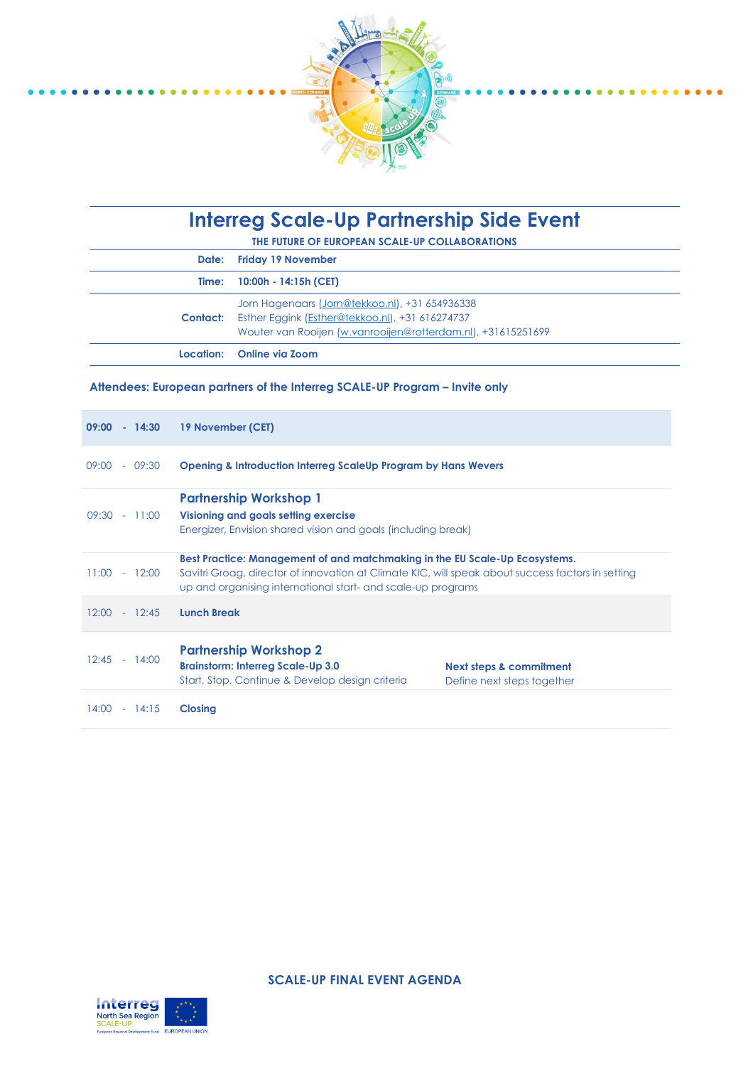

# **Interreg Scale-Up Partnership Side Event**

**THE FUTURE OF EUROPEAN SCALE-UP COLLABORATIONS**

| Date: Friday 19 November                                                                                                                                                          |
|-----------------------------------------------------------------------------------------------------------------------------------------------------------------------------------|
| Time: 10:00h - 14:15h (CET)                                                                                                                                                       |
| Jorn Hagenaars (Jorn@tekkoo.nl), +31 654936338<br><b>Contact:</b> Esther Eggink (Esther@tekkoo.nl), +31 616274737<br>Wouter van Rooijen (w.vanrooijen@rotterdam.nl), +31615251699 |
| Location: Online via Zoom                                                                                                                                                         |

### **Attendees: European partners of the Interreg SCALE-UP Program – Invite only**

| $09:00 - 14:30$   | 19 November (CET)                                                                                                                                                                                                                                |  |
|-------------------|--------------------------------------------------------------------------------------------------------------------------------------------------------------------------------------------------------------------------------------------------|--|
| $09:00 - 09:30$   | <b>Opening &amp; Introduction Interreg ScaleUp Program by Hans Wevers</b>                                                                                                                                                                        |  |
| $09:30 - 11:00$   | <b>Partnership Workshop 1</b><br>Visioning and goals setting exercise<br>Energizer, Envision shared vision and goals (including break)                                                                                                           |  |
| $11:00 - 12:00$   | Best Practice: Management of and matchmaking in the EU Scale-Up Ecosystems.<br>Savitri Groag, director of innovation at Climate KIC, will speak about success factors in setting<br>up and organising international start- and scale-up programs |  |
| $12:00 - 12:45$   | <b>Lunch Break</b>                                                                                                                                                                                                                               |  |
| $12:45 - 14:00$   | <b>Partnership Workshop 2</b><br><b>Brainstorm: Interreg Scale-Up 3.0</b><br>Next steps & commitment<br>Start, Stop, Continue & Develop design criteria<br>Define next steps together                                                            |  |
| 14:00<br>$-14:15$ | <b>Closing</b>                                                                                                                                                                                                                                   |  |